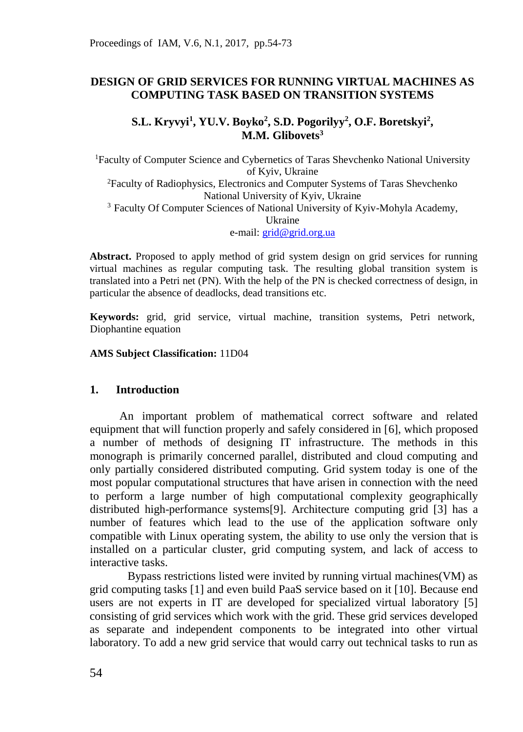## **DESIGN OF GRID SERVICES FOR RUNNING VIRTUAL MACHINES AS COMPUTING TASK BASED ON TRANSITION SYSTEMS**

## **S.L. Kryvyi<sup>1</sup> , YU.V. Boyko<sup>2</sup> , S.D. Pogorilyy<sup>2</sup> , O.F. Boretskyi<sup>2</sup> , M.M. Glibovets<sup>3</sup>**

<sup>1</sup>Faculty of Computer Science and Cybernetics of Taras Shevchenko National University of Kyiv, Ukraine <sup>2</sup>Faculty of Radiophysics, Electronics and Computer Systems of Taras Shevchenko National University of Kyiv, Ukraine <sup>3</sup> Faculty Of Computer Sciences of National University of Kyiv-Mohyla Academy, Ukraine e-mail: [grid@grid.org.ua](mailto:grid@grid.org.ua)

**Abstract.** Proposed to apply method of grid system design on grid services for running virtual machines as regular computing task. The resulting global transition system is translated into a Petri net (PN). With the help of the PN is checked correctness of design, in particular the absence of deadlocks, dead transitions etc.

**Keywords:** grid, grid service, virtual machine, transition systems, Petri network, Diophantine equation

**AMS Subject Classification:** 11D04

#### **1. Introduction**

An important problem of mathematical correct software and related equipment that will function properly and safely considered in [6], which proposed a number of methods of designing IT infrastructure. The methods in this monograph is primarily concerned parallel, distributed and cloud computing and only partially considered distributed computing. Grid system today is one of the most popular computational structures that have arisen in connection with the need to perform a large number of high computational complexity geographically distributed high-performance systems[9]. Architecture computing grid [3] has a number of features which lead to the use of the application software only compatible with Linux operating system, the ability to use only the version that is installed on a particular cluster, grid computing system, and lack of access to interactive tasks.

Bypass restrictions listed were invited by running virtual machines(VM) as grid computing tasks [1] and even build PaaS service based on it [10]. Because end users are not experts in IT are developed for specialized virtual laboratory [5] consisting of grid services which work with the grid. These grid services developed as separate and independent components to be integrated into other virtual laboratory. To add a new grid service that would carry out technical tasks to run as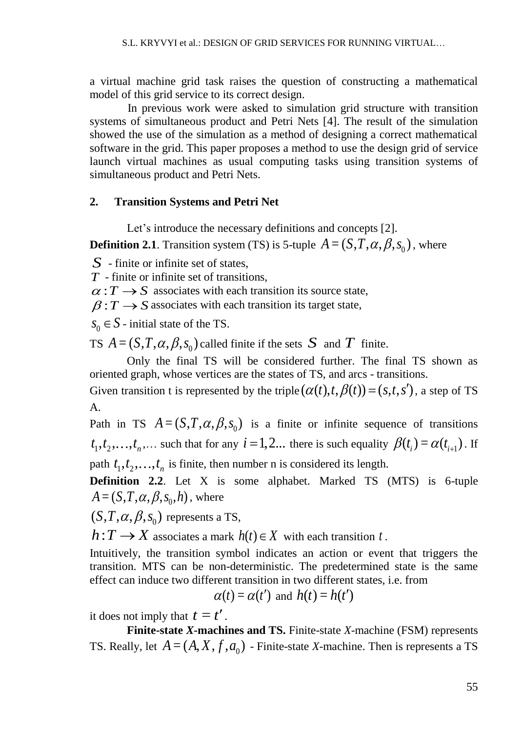a virtual machine grid task raises the question of constructing a mathematical model of this grid service to its correct design.

In previous work were asked to simulation grid structure with transition systems of simultaneous product and Petri Nets [4]. The result of the simulation showed the use of the simulation as a method of designing a correct mathematical software in the grid. This paper proposes a method to use the design grid of service launch virtual machines as usual computing tasks using transition systems of simultaneous product and Petri Nets.

### **2. Transition Systems and Petri Net**

Let's introduce the necessary definitions and concepts [2].

**Definition 2.1**. Transition system (TS) is 5-tuple  $A = (S, T, \alpha, \beta, s_0)$ , where

*S* - finite or infinite set of states,

*T* - finite or infinite set of transitions,

 $\alpha$ :  $T \rightarrow S$  associates with each transition its source state,

 $\beta$ :  $T \rightarrow S$  associates with each transition its target state,

 $s_0 \in S$  - initial state of the TS.

TS  $A = (S, T, \alpha, \beta, s_0)$  called finite if the sets S and T finite.

Only the final TS will be considered further. The final TS shown as oriented graph, whose vertices are the states of TS, and arcs - transitions.

Given transition t is represented by the triple  $(\alpha(t), t, \beta(t)) = (s, t, s')$ , a step of TS A.

Path in TS  $A = (S, T, \alpha, \beta, s_0)$  is a finite or infinite sequence of transitions  $t_1, t_2, \ldots, t_n, \ldots$  such that for any  $i = 1, 2, \ldots$  there is such equality  $\beta(t_i) = \alpha(t_{i+1})$ . If path  $t_1, t_2, \ldots, t_n$  is finite, then number n is considered its length.

**Definition 2.2.** Let X is some alphabet. Marked TS (MTS) is 6-tuple  $A = (S, T, \alpha, \beta, s_0, h)$ , where

 $(S, T, \alpha, \beta, s_0)$  represents a TS,

 $h: T \longrightarrow X$  associates a mark  $h(t) \in X$  with each transition t.

Intuitively, the transition symbol indicates an action or event that triggers the transition. MTS can be non-deterministic. The predetermined state is the same effect can induce two different transition in two different states, i.e. from

$$
\alpha(t) = \alpha(t')
$$
 and  $h(t) = h(t')$ 

it does not imply that  $t = t'$ .

**Finite-state** *X***-machines and TS.** Finite-state *X*-machine (FSM) represents TS. Really, let  $A = (A, X, f, a_0)$  - Finite-state *X*-machine. Then is represents a TS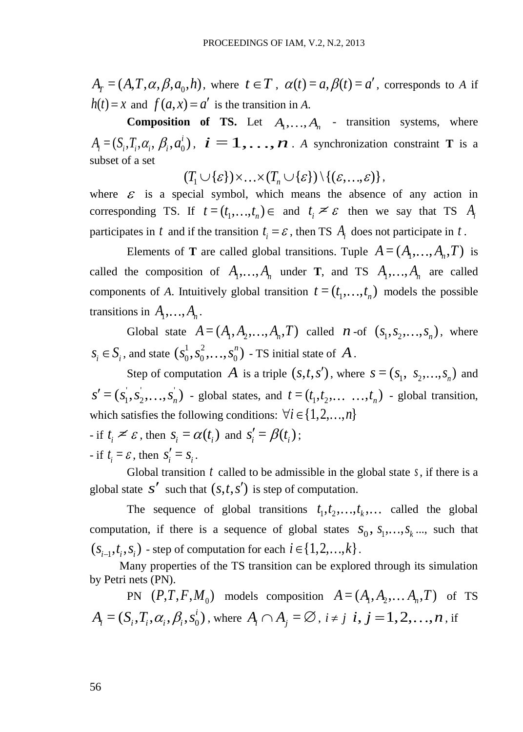, where  $t \in T$ ,  $\alpha(t) = a, \beta(t) = a'$ , corresponds to *A* if  $h(t) = x$  and  $f(a, x) = a'$  is the transition in *A*.

**Composition of TS.** Let  $A_1, \ldots, A_n$  - transition systems, where  $A_i = (S_i, T_i, \alpha_i, \beta_i, a_0^i), i = 1, \ldots, n$ . A synchronization constraint **T** is a subset of a set  $(T_1 \cup \{\varepsilon\}) \times ... \times (T_n \cup \{\varepsilon\}) \setminus \{(\varepsilon,...,\varepsilon)\},$ 

where  $\epsilon$  is a special symbol, which means the absence of any action in corresponding TS. If  $t = (t_1, ..., t_n) \in$  and  $t_i \leq \varepsilon$  then we say that TS  $A_i$ participates in t and if the transition  $t_i = \varepsilon$ , then TS  $A_i$  does not participate in t.

 $A_r = (A, T, \alpha, \beta, a_0, h)$ <br>  $h(t) = x$  and  $f(a, x) = c$ <br> **Composition**<br>  $A_i = (S_i, T_i, \alpha_i, \beta_i, a_0^i)$ ,<br>
subset of a set<br>  $(T_1$ <br>
where  $\varepsilon$  is a special<br>
corresponding TS. If<br>
participates in t and if there is a special<br>
corresponding Elements of **T** are called global transitions. Tuple  $A = (A_1, \ldots, A_n, T)$  is called the composition of  $A_1, \ldots, A_n$  under **T**, and **TS**  $A_1, \ldots, A_n$  are called components of *A*. Intuitively global transition  $t = (t_1, \ldots, t_n)$  models the possible transitions in  $A_1, \ldots, A_n$ .

Global state  $A = (A_1, A_2, \dots, A_n, T)$  called  $n$ -of  $(s_1, s_2, \dots, s_n)$ , where  $s_i \in S_i$ , and state  $(s_0^1, s_0^2, \ldots, s_0^n)$  - TS initial state of  $A$ .

Step of computation A is a triple  $(s,t,s')$ , where  $s = (s_1, s_2,...,s_n)$  and  $s' = (s_1, s_2, \ldots, s_n)$  - global states, and  $t = (t_1, t_2, \ldots, t_n)$  - global transition, which satisfies the following conditions:  $\forall i \in \{1, 2, ..., n\}$ 

 $\cdot$  if  $t_i \leq \varepsilon$ , then  $s_i = \alpha(t_i)$  and  $s'_i = \beta(t_i)$ ;  $\text{if } t_i = \varepsilon \text{, then } s'_i = s_i.$ 

Global transition  $t$  called to be admissible in the global state  $s$ , if there is a global state  $s'$  such that  $(s,t,s')$  is step of computation.

The sequence of global transitions  $t_1, t_2, \ldots, t_k, \ldots$  called the global computation, if there is a sequence of global states  $S_0, S_1, \ldots, S_k, \ldots$ , such that  $(s_{i-1}, t_i, s_i)$  - step of computation for each  $i \in \{1, 2, ..., k\}$ .

Many properties of the TS transition can be explored through its simulation by Petri nets (PN).

PN  $(P, T, F, M_0)$  models composition  $A = (A_1, A_2, \dots, A_n, T)$  of TS  $A_i = (S_i, T_i, \alpha_i, \beta_i, s_0^i)$ , where  $A_i \cap A_j = \emptyset$ ,  $i \neq j$   $i, j = 1, 2, ..., n$ , if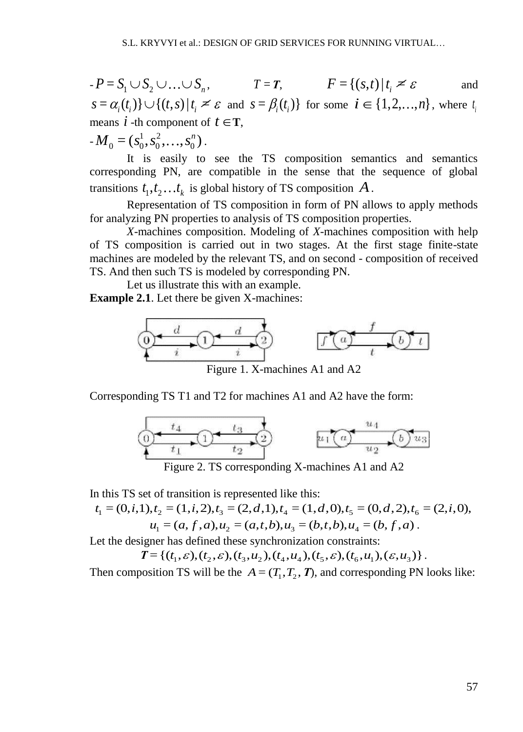$-P = S_1 \cup S_2 \cup ... \cup S_n,$   $T = T,$   $F = \{(s,t) | t_i \neq \varepsilon\}$ and  $s = \alpha_i(t_i) \} \cup \{(t, s) | t_i \leq \varepsilon \text{ and } s = \beta_i(t_i) \}$  for some  $i \in \{1, 2, ..., n\}$ , where  $t_i$ means  $i$  -th component of  $t \in T$ ,  $-M_0 = (s_0^1, s_0^2, \ldots, s_0^n).$ 

It is easily to see the TS composition semantics and semantics corresponding PN, are compatible in the sense that the sequence of global transitions  $t_1, t_2, \ldots t_k$  is global history of TS composition  $A$ .

Representation of TS composition in form of PN allows to apply methods for analyzing PN properties to analysis of TS composition properties.

*X*-machines composition. Modeling of *X*-machines composition with help of TS composition is carried out in two stages. At the first stage finite-state machines are modeled by the relevant TS, and on second - composition of received TS. And then such TS is modeled by corresponding PN.

Let us illustrate this with an example.

**Example 2.1**. Let there be given X-machines:



Figure 1. X-machines A1 and A2

Corresponding TS T1 and T2 for machines A1 and A2 have the form:



Figure 2. TS corresponding X-machines A1 and A2

In this TS set of transition is represented like this:

Figure 2. TS corresponding X-machines A1 and A2  
\nin this TS set of transition is represented like this:  
\n
$$
t_1 = (0, i, 1), t_2 = (1, i, 2), t_3 = (2, d, 1), t_4 = (1, d, 0), t_5 = (0, d, 2), t_6 = (2, i, 0),
$$
  
\n $u_1 = (a, f, a), u_2 = (a, t, b), u_3 = (b, t, b), u_4 = (b, f, a)$ .

Let the designer has defined these synchronization constraints:

*u*<sub>1</sub> = (*a*, *f*, *a*), *u*<sub>2</sub> = (*a*, *t*, *b*), *u*<sub>3</sub> = (*b*, *t*, *b*), *u*<sub>4</sub> = (*b*, *f*, *a*).<br>igner has defined these synchronization constraints:<br> $T = \{(t_1, \varepsilon), (t_2, \varepsilon), (t_3, u_2), (t_4, u_4), (t_5, \varepsilon), (t_6, u_1), (\vare$ 

Then composition TS will be the  $A = (T_1, T_2, T)$ , and corresponding PN looks like: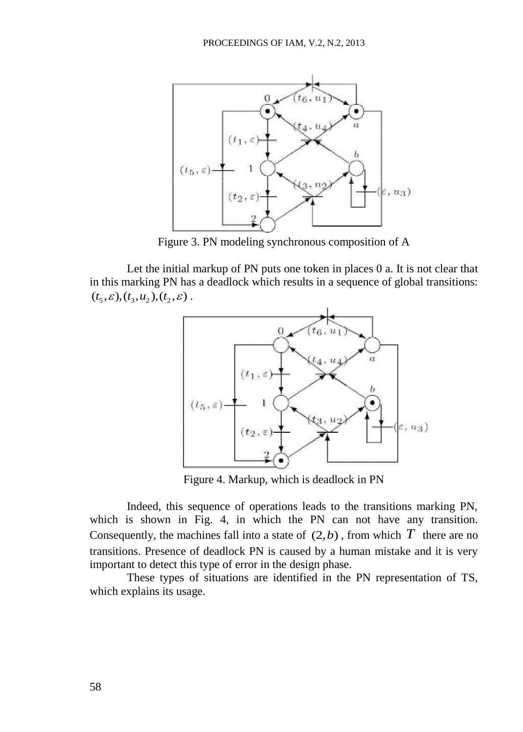

Figure 3. PN modeling synchronous composition of A

Let the initial markup of PN puts one token in places 0 a. It is not clear that in this marking PN has a deadlock which results in a sequence of global transitions:  $(t_5, \varepsilon), (t_3, u_2), (t_2, \varepsilon)$ .



Figure 4. Markup, which is deadlock in PN

Indeed, this sequence of operations leads to the transitions marking PN, which is shown in Fig. 4, in which the PN can not have any transition. Consequently, the machines fall into a state of  $(2,b)$ , from which T there are no transitions. Presence of deadlock PN is caused by a human mistake and it is very important to detect this type of error in the design phase.

These types of situations are identified in the PN representation of TS, which explains its usage.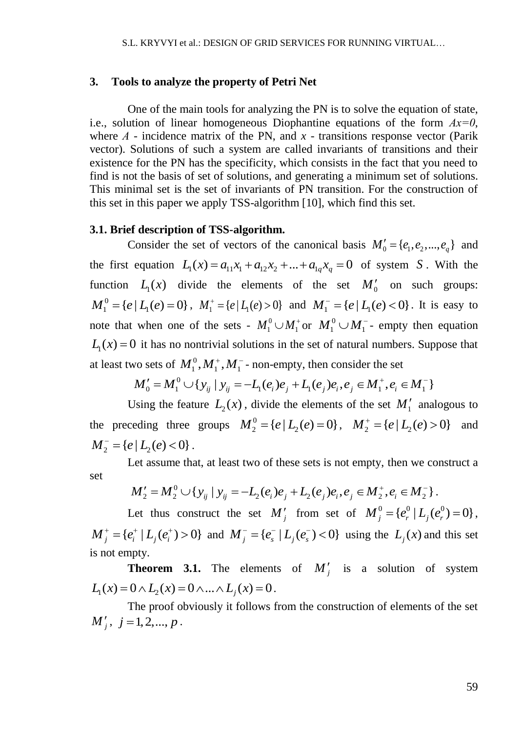#### **3. Tools to analyze the property of Petri Net**

One of the main tools for analyzing the PN is to solve the equation of state, i.e., solution of linear homogeneous Diophantine equations of the form *Ах=0*, where  $A$  - incidence matrix of the PN, and  $x$  - transitions response vector (Parik vector). Solutions of such a system are called invariants of transitions and their existence for the PN has the specificity, which consists in the fact that you need to find is not the basis of set of solutions, and generating a minimum set of solutions. This minimal set is the set of invariants of PN transition. For the construction of this set in this paper we apply TSS-algorithm [10], which find this set.

#### **3.1. Brief description of TSS-algorithm.**

Consider the set of vectors of the canonical basis  $M'_0 = \{e_1, e_2, ..., e_q\}$  and Consider the set of vectors of the canonical basis  $M_0 = \{e_1, e_2, ..., e_q\}$  and<br>the first equation  $L_1(x) = a_{11}x_1 + a_{12}x_2 + ... + a_{1q}x_q = 0$  of system *S*. With the function  $L_1(x)$  divide the elements of the set  $M'_0$  on such groups:  $M_1^0 = \{e \mid L_1(e) = 0\}$ ,  $M_1^+ = \{e \mid L_1(e) > 0\}$  and  $M_1^- = \{e \mid L_1(e) < 0\}$ . It is easy to note that when one of the sets -  $M_1^0 \cup M_1^+$  or  $M_1^0 \cup M_1^-$ - empty then equation  $L_1(x) = 0$  it has no nontrivial solutions in the set of natural numbers. Suppose that at least two sets of  $M_1^0, M_1^+, M_1^-$  - non-empty, then consider the set o sets of  $M_1^0$ ,  $M_1^+$ ,  $M_1^-$  - non-empty, then consider the set<br>  $M'_0 = M_1^0 \cup \{y_{ij} \mid y_{ij} = -L_1(e_i)e_j + L_1(e_j)e_i, e_j \in M_1^+, e_i \in M_1^-\}$  $\begin{array}{l} \text{ne set} \ + \cdot \, e \in M^- \end{array}$ sets of  $M_1^0$ ,  $M_1^+$ ,  $M_1^-$  - non-empty, then consider the set<br>  $\mathcal{L}_0 = M_1^0 \cup \{y_{ij} | y_{ij} = -L_1(e_i)e_j + L_1(e_j)e_i, e_j \in M_1^+, e_i \in M_1^-\}$ 

$$
M'_{0} = M_{1}^{0} \cup \{y_{ij} \mid y_{ij} = -L_{1}(e_{i})e_{j} + L_{1}(e_{j})e_{i}, e_{j} \in M_{1}^{+}, e_{i} \in M_{1}^{-}\}
$$

Using the feature  $L_2(x)$ , divide the elements of the set  $M'_1$  analogous to the preceding three groups  $M_2^0 = \{e \mid L_2(e) = 0\}$ ,  $M_2^+ = \{e \mid L_2(e) > 0\}$  and  $M_2^- = \{e \mid L_2(e) < 0\}$ .

Let assume that, at least two of these sets is not empty, then we construct a<br>  $M'_2 = M_2^0 \cup \{y_{ij} \mid y_{ij} = -L_2(e_i)e_j + L_2(e_j)e_i, e_j \in M_2^+, e_i \in M_2^- \}$ . set  $e \in M_{\infty}^{-1}$ .

$$
M'_2 = M_2^0 \cup \{y_{ij} \mid y_{ij} = -L_2(e_i)e_j + L_2(e_j)e_i, e_j \in M_2^+, e_i \in M_2^- \}.
$$

Let thus construct the set  $M'_j$  from set of  $M_j^0 = \{e_r^0 | L_j(e_r^0) = 0\}$ ,  ${M}_{j}^{+} = \{e_{i}^{+} | L_{j}(e_{i}^{+}) > 0\}$  and  ${M}_{j}^{-} = \{e_{s}^{-} | L_{j}(e_{s}^{-}) < 0\}$  using the  $L_{j}(x)$  and this set is not empty.

**Theorem 3.1.** The elements of  $M'_j$  is a solution of system **1 1 2 2 1 2 3.1.** The elements<br>  $L_1(x) = 0 \wedge L_2(x) = 0 \wedge ... \wedge L_j(x) = 0.$ 

The proof obviously it follows from the construction of elements of the set  $M'_{j}, j = 1, 2, ..., p$ .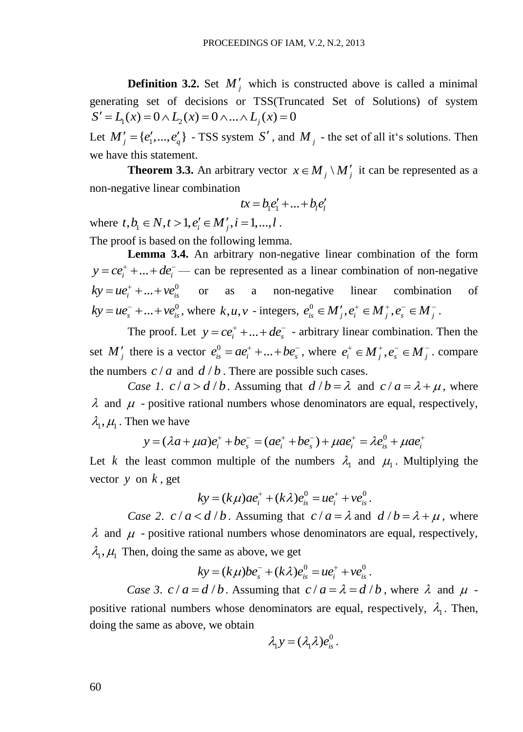**Definition 3.2.** Set  $M'_j$  which is constructed above is called a minimal generating set of decisions or TSS(Truncated Set of Solutions) of system generating set of decisions or TSS(Truncate<br>  $S' = L_1(x) = 0 \wedge L_2(x) = 0 \wedge ... \wedge L_j(x) = 0$ 

Let  $M'_{j} = \{e'_{1},...,e'_{q}\}\$  - TSS system S', and  $M_{j}$  - the set of all it's solutions. Then we have this statement.

**Theorem 3.3.** An arbitrary vector  $x \in M_j \setminus M'_j$  it can be represented as a non-negative linear combination

$$
tx = b_1 e_1' + \ldots + b_l e_l'
$$

where  $t, b_i \in N, t > 1, e'_i \in M'_j, i = 1, ..., l$ .

The proof is based on the following lemma.

**Lemma 3.4.** An arbitrary non-negative linear combination of the form  $y = ce_i^+ + ... + de_i^-$  can be represented as a linear combination of non-negative  $ky = ue_i^+ + ... + ve_{is}^0$  or as a non-negative linear combination of  $ky = ue_s^- + ... + ve_{is}^0$ , where  $k, u, v$  - integers,  $e_{is}^0 \in M_j, e_i^+ \in M_j^+, e_s^- \in M_j^-$ .

The proof. Let  $y = ce_i^+ + ... + de_s^-$  - arbitrary linear combination. Then the set M'<sub>j</sub> there is a vector  $e_{is}^0 = ae_i^+ + ... + be_s^-$ , where  $e_i^+ \in M_j^+, e_s^- \in M_j^-$ . compare the numbers  $c/a$  and  $d/b$ . There are possible such cases.

*Case 1.*  $c/a > d/b$ *. Assuming that*  $d/b = \lambda$  *and*  $c/a = \lambda + \mu$ *, where*  $\lambda$  and  $\mu$  - positive rational numbers whose denominators are equal, respectively,  $\lambda_1, \mu_1$ . Then we have positive rational numbers whose denominators are equal, respect<br>  $y = (\lambda a + \mu a)e_i^+ + be_s^- = (ae_i^+ + be_s^-) + \mu ae_i^+ = \lambda e_{is}^0 + \mu ae_i^+$ 

$$
y = (\lambda a + \mu a)e_i^+ + be_s^- = (ae_i^+ + be_s^-) + \mu ae_i^+ = \lambda e_{is}^0 + \mu ae_i^+
$$

Let k the least common multiple of the numbers  $\lambda_1$  and  $\mu_1$ . Multiplying the vector *y* on *k* , get

$$
ky = (k\mu)ae_i^+ + (k\lambda)e_{is}^0 = ue_i^+ + ve_{is}^0.
$$

*Case 2.*  $c/a < d/b$ *.* Assuming that  $c/a = \lambda$  and  $d/b = \lambda + \mu$ , where  $\lambda$  and  $\mu$  - positive rational numbers whose denominators are equal, respectively,  $\lambda_1, \mu_1$  Then, doing the same as above, we get<br>  $ky = (k\mu)be_s^- + (k\lambda)e_{is}^0 = ue_i^+ + ve_{is}^0$ .

$$
ky = (k\mu)be_s^- + (k\lambda)e_{is}^0 = ue_i^+ + ve_{is}^0
$$

*Case 3.*  $c/a = d/b$ *.* Assuming that  $c/a = \lambda = d/b$ , where  $\lambda$  and  $\mu$ positive rational numbers whose denominators are equal, respectively,  $\lambda_1$ . Then, doing the same as above, we obtain

$$
\lambda_1 y = (\lambda_1 \lambda) e_{is}^0.
$$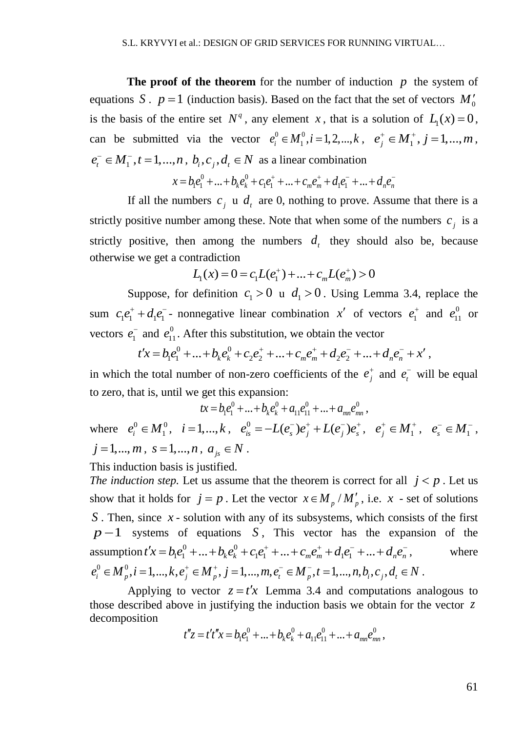**The proof of the theorem** for the number of induction  $p$  the system of equations *S* .  $p = 1$  (induction basis). Based on the fact that the set of vectors  $M_0'$ is the basis of the entire set  $N^q$ , any element x, that is a solution of  $L_1(x) = 0$ , can be submitted via the vector  $e_i^0 \in M_1^0, i = 1, 2, ..., k, e_j^+ \in M_1^+, j = 1, ..., m$ ,  $e_t^-\in M_1^-, t=1,...,n, b_i, c_j, d_t \in N$  as a linear combination<br>  $x = he^0 + ... + he^0 + ce^+ + ... + c e^+ + de^- + ...$ 

$$
n, b_i, c_j, d_t \in N \text{ as a linear combination}
$$
  

$$
x = b_i e_1^0 + ... + b_k e_k^0 + c_i e_1^+ + ... + c_m e_m^+ + d_i e_1^- + ... + d_n e_n^-
$$

If all the numbers  $c_j$  u  $d_t$  are 0, nothing to prove. Assume that there is a strictly positive number among these. Note that when some of the numbers  $c_j$  is a strictly positive, then among the numbers  $d_t$  they should also be, because otherwise we get a contradiction

ntradiction  
\n
$$
L_1(x) = 0 = c_1 L(e_1^+) + ... + c_m L(e_m^+) > 0
$$

Suppose, for definition  $c_1 > 0$  u  $d_1 > 0$ . Using Lemma 3.4, replace the sum  $c_1e_1^+ + d_1e_1^-$  nonnegative linear combination x' of vectors  $e_1^+$  and  $e_{11}^0$  or vectors  $e_1^-$  and  $e_{11}^0$ . After this substitution, we obtain the vector<br>  $t'x = b_1e_1^0 + ... + b_r e_1^0 + c_2e_2^+ + ... + c_r e_r^+ + d_r e_2^- + ... + c_r$  $+ a_1 e_1^0$  - nonnegative finear combination x or vectors  $e_1^1$  and  $e_{11}^0$  or<br>and  $e_{11}^0$ . After this substitution, we obtain the vector<br> $t'x = b_1 e_1^0 + ... + b_k e_k^0 + c_2 e_2^+ + ... + c_m e_m^+ + d_2 e_2^- + ... + d_n e_n^- + x'$ ,

$$
t'x = b_1e_1^0 + \dots + b_ke_k^0 + c_2e_2^+ + \dots + c_me_m^+ + d_2e_2^- + \dots + d_ne_n^- + x',
$$

in which the total number of non-zero coefficients of the  $e_i^+$  and  $e_i^-$  will be equal

to zero, that is, until we get this expansion:  
\n
$$
tx = b_1 e_1^0 + ... + b_k e_k^0 + a_{11} e_{11}^0 + ... + a_{nn} e_{nm}^0,
$$
\nwhere  $e_i^0 \in M_1^0$ ,  $i = 1,...,k$ ,  $e_{is}^0 = -L(e_s^-) e_j^+ + L(e_j^-) e_s^+$ ,  $e_j^+ \in M_1^+$ ,  $e_s^- \in M_1^-$ ,  
\n $j = 1,...,m$ ,  $s = 1,...,n$ ,  $a_{js} \in N$ .

This induction basis is justified.

*The induction step.* Let us assume that the theorem is correct for all  $j < p$ . Let us show that it holds for  $j = p$ . Let the vector  $x \in M_p / M'_p$ , i.e.  $x$  - set of solutions S. Then, since x - solution with any of its subsystems, which consists of the first  $p-1$  systems of equations *S*, This vector has the expansion of the  $p-1$  systems of equation<br>assumption  $t'x = b_1e_1^0 + ... + b_ke_k^0$ three x-solution with any of its subsystems, which consists of<br>stems of equations S, This vector has the expansio<br> $t'x = b_1e_1^0 + ... + b_ke_k^0 + c_1e_1^+ + ... + c_me_m^+ + d_1e_1^- + ... + d_ne_n^-,$ where  $p-1$  systems of equations *S*, This vector has the expansion of assumption  $t'x = b_1e_1^0 + ... + b_k e_k^0 + c_1e_1^+ + ... + c_me_m^+ + d_1e_1^- + ... + d_ne_n^-,$  w<br>  $e_i^0 \in M_p^0, i = 1, ..., k, e_j^+ \in M_p^+, j = 1, ..., m, e_i^- \in M_p^-, t = 1, ..., n, b_i, c_j, d_i \in N$ .

Applying to vector  $z = t'x$  Lemma 3.4 and computations analogous to those described above in justifying the induction basis we obtain for the vector *z* decomposition  $t''z = t't''x = b_1e_1^0 + ... + b_k e_k^0 + a_{11}e_{11}^0 + ... + a_{mn}e_{mn}^0$ 

$$
t''z = t't''x = b_1e_1^0 + \dots + b_ke_k^0 + a_{11}e_{11}^0 + \dots + a_{mn}e_{mn}^0,
$$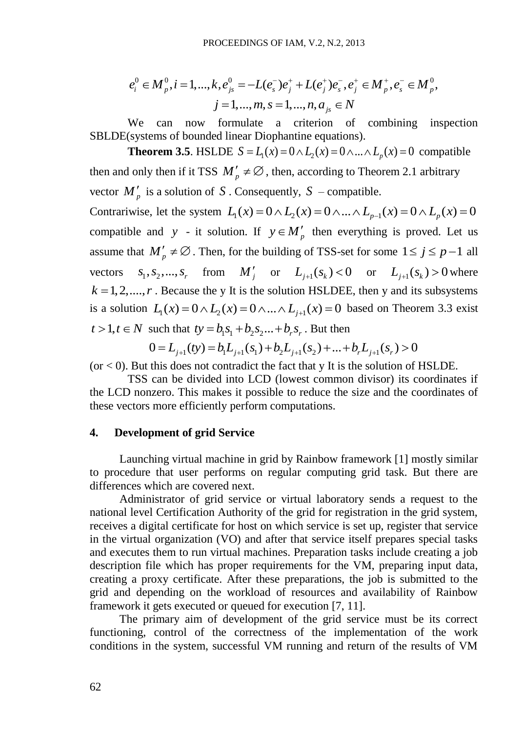$$
e_i^0 \in M_p^0, i = 1, ..., k, e_{js}^0 = -L(e_s^-)e_j^+ + L(e_j^+)e_s^-, e_j^+ \in M_p^+, e_s^- \in M_p^0,
$$
  

$$
j = 1, ..., m, s = 1, ..., n, a_{js} \in N
$$

We can now formulate a criterion of combining inspection SBLDE(systems of bounded linear Diophantine equations).

 $e_i^0 \in M_{ij}^0, i = 1, ..., R, e_j^0, = -L(e_i^c)e_j^+ + L(e_i^b)e_i^-, e_j^c \in M_{ij}^0, e_i^c \in M_{ij}^0,$ <br>
We can now formulate a criticin of combining inspect<br>
SBLDEGsystems of bounded linear Diophamine capitation of combining inspect<br>
SBLDEGsystems (systems of bounded linear Diophantine equations).<br>**Theorem 3.5**. HSLDE  $S = L_1(x) = 0 \wedge L_2(x) = 0 \wedge ... \wedge L_p(x) = 0$  compatible then and only then if it TSS  $M'_p \neq \emptyset$ , then, according to Theorem 2.1 arbitrary vector  $M'_p$  is a solution of S. Consequently,  $S$  – compatible. vector  $M'_p$  is a solution of S. Consequently,  $S$  – compatible.<br>Contrariwise, let the system  $L_1(x) = 0 \wedge L_2(x) = 0 \wedge ... \wedge L_{p-1}(x) = 0 \wedge L_p(x) = 0$ compatible and *y* - it solution. If  $y \in M'_p$  then everything is proved. Let us assume that  $M'_p \neq \emptyset$ . Then, for the building of TSS-set for some  $1 \leq j \leq p-1$  all vectors  $s_1, s_2, ..., s_r$  from  $M'_j$  or  $L_{j+1}(s_k) < 0$  or  $L_{j+1}(s_k) > 0$  where  $k = 1, 2, \dots, r$ . Because the y It is the solution HSLDEE, then y and its subsystems  $k = 1, 2, \dots, r$ . Because the y It is the solution HSLDEE, then y and its subsystems is a solution  $L_1(x) = 0 \wedge L_2(x) = 0 \wedge \dots \wedge L_{j+1}(x) = 0$  based on Theorem 3.3 exist  $t > 1, t \in N$  such that  $ty = b_1 s_1 + b_2 s_2 ... + b_r s_r$ . But then

 $0 = L_{i+1}(ty) = b_1 L_{i+1}(s_1) + b_2 L_{i+1}(s_2) + ... + b_r L_{i+1}(s_r) > 0$ 

 $($ or  $<$  0). But this does not contradict the fact that y It is the solution of HSLDE.

TSS can be divided into LCD (lowest common divisor) its coordinates if the LCD nonzero. This makes it possible to reduce the size and the coordinates of these vectors more efficiently perform computations.

#### **4. Development of grid Service**

Launching virtual machine in grid by Rainbow framework [1] mostly similar to procedure that user performs on regular computing grid task. But there are differences which are covered next.

Administrator of grid service or virtual laboratory sends a request to the national level Certification Authority of the grid for registration in the grid system, receives a digital certificate for host on which service is set up, register that service in the virtual organization (VO) and after that service itself prepares special tasks and executes them to run virtual machines. Preparation tasks include creating a job description file which has proper requirements for the VM, preparing input data, creating a proxy certificate. After these preparations, the job is submitted to the grid and depending on the workload of resources and availability of Rainbow framework it gets executed or queued for execution [7, 11].

The primary aim of development of the grid service must be its correct functioning, control of the correctness of the implementation of the work conditions in the system, successful VM running and return of the results of VM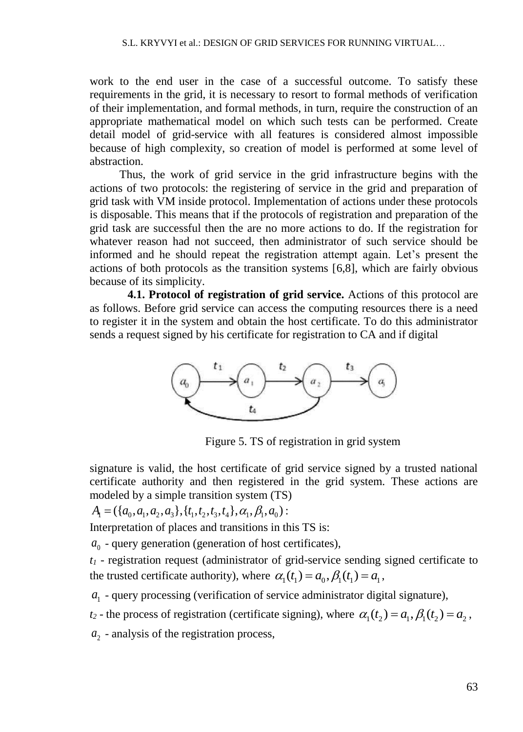work to the end user in the case of a successful outcome. To satisfy these requirements in the grid, it is necessary to resort to formal methods of verification of their implementation, and formal methods, in turn, require the construction of an appropriate mathematical model on which such tests can be performed. Create detail model of grid-service with all features is considered almost impossible because of high complexity, so creation of model is performed at some level of abstraction.

Thus, the work of grid service in the grid infrastructure begins with the actions of two protocols: the registering of service in the grid and preparation of grid task with VM inside protocol. Implementation of actions under these protocols is disposable. This means that if the protocols of registration and preparation of the grid task are successful then the are no more actions to do. If the registration for whatever reason had not succeed, then administrator of such service should be informed and he should repeat the registration attempt again. Let's present the actions of both protocols as the transition systems [6,8], which are fairly obvious because of its simplicity.

**4.1. Protocol of registration of grid service.** Actions of this protocol are as follows. Before grid service can access the computing resources there is a need to register it in the system and obtain the host certificate. To do this administrator sends a request signed by his certificate for registration to CA and if digital



Figure 5. TS of registration in grid system

signature is valid, the host certificate of grid service signed by a trusted national certificate authority and then registered in the grid system. These actions are modeled by a simple transition system (TS)<br> $A_1 = (\{a_0, a_1, a_2, a_3\}, \{t_1, t_2, t_3, t_4\}, \alpha_1, \beta_1, a_0)$ :

$$
A_1 = (\{a_0, a_1, a_2, a_3\}, \{t_1, t_2, t_3, t_4\}, \alpha_1, \beta_1, a_0):
$$

Interpretation of places and transitions in this TS is:

 $a_0$  - query generation (generation of host certificates),

*t<sup>1</sup>* - registration request (administrator of grid-service sending signed certificate to the trusted certificate authority), where  $\alpha_1(t_1) = a_0$ ,  $\beta_1(t_1) = a_1$ ,

 $a<sub>1</sub>$  - query processing (verification of service administrator digital signature),

 $t_2$  - the process of registration (certificate signing), where  $\alpha_1(t_2) = a_1$ ,  $\beta_1(t_2) = a_2$ ,

 $a<sub>2</sub>$  - analysis of the registration process,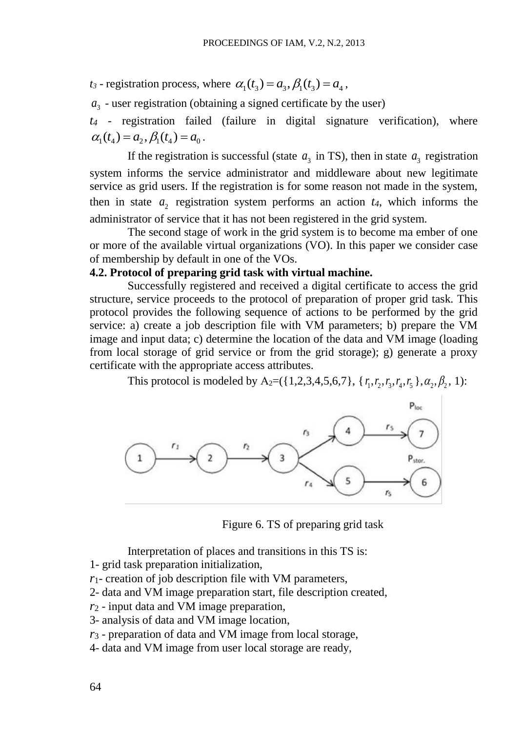$t_3$  - registration process, where  $\alpha_1(t_3) = a_3$ ,  $\beta_1(t_3) = a_4$ ,

 $a_3$  - user registration (obtaining a signed certificate by the user)

*t<sup>4</sup>* - registration failed (failure in digital signature verification), where  $\alpha_1(t_4) = a_2, \beta_1(t_4) = a_0$ .

If the registration is successful (state  $a_3$  in TS), then in state  $a_3$  registration system informs the service administrator and middleware about new legitimate service as grid users. If the registration is for some reason not made in the system, then in state  $a_2$  registration system performs an action  $t_4$ , which informs the administrator of service that it has not been registered in the grid system.

The second stage of work in the grid system is to become ma ember of one or more of the available virtual organizations (VO). In this paper we consider case of membership by default in one of the VOs.

#### **4.2. Protocol of preparing grid task with virtual machine.**

Successfully registered and received a digital certificate to access the grid structure, service proceeds to the protocol of preparation of proper grid task. This protocol provides the following sequence of actions to be performed by the grid service: a) create a job description file with VM parameters; b) prepare the VM image and input data; c) determine the location of the data and VM image (loading from local storage of grid service or from the grid storage); g) generate a proxy certificate with the appropriate access attributes.

This protocol is modeled by A<sub>2</sub>=({1,2,3,4,5,6,7}, { $r_1, r_2, r_3, r_4, r_5$ }, $\alpha_2, \beta_2$ , 1):



Figure 6. TS of preparing grid task

Interpretation of places and transitions in this TS is:

- 1- grid task preparation initialization,
- *r*1- creation of job description file with VM parameters,
- 2- data and VM image preparation start, file description created,
- *r*<sup>2</sup> input data and VM image preparation,
- 3- analysis of data and VM image location,
- *r*<sup>3</sup> preparation of data and VM image from local storage,
- 4- data and VM image from user local storage are ready,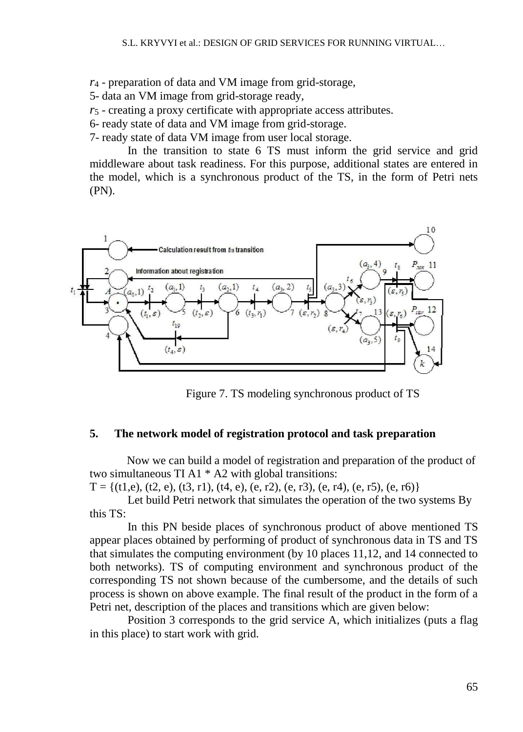*r*<sup>4</sup> - preparation of data and VM image from grid-storage,

5- data an VM image from grid-storage ready,

*r*<sup>5</sup> - creating a proxy certificate with appropriate access attributes.

6- ready state of data and VM image from grid-storage.

7- ready state of data VM image from user local storage.

In the transition to state 6 TS must inform the grid service and grid middleware about task readiness. For this purpose, additional states are entered in the model, which is a synchronous product of the TS, in the form of Petri nets (PN).



Figure 7. TS modeling synchronous product of TS

#### **5. The network model of registration protocol and task preparation**

Now we can build a model of registration and preparation of the product of two simultaneous TI A1 \* A2 with global transitions:

 $T = \{(t1,e), (t2, e), (t3, r1), (t4, e), (e, r2), (e, r3), (e, r4), (e, r5), (e, r6)\}\$ 

Let build Petri network that simulates the operation of the two systems By this TS:

In this PN beside places of synchronous product of above mentioned TS appear places obtained by performing of product of synchronous data in TS and TS that simulates the computing environment (by 10 places 11,12, and 14 connected to both networks). TS of computing environment and synchronous product of the corresponding TS not shown because of the cumbersome, and the details of such process is shown on above example. The final result of the product in the form of a Petri net, description of the places and transitions which are given below:

Position 3 corresponds to the grid service A, which initializes (puts a flag in this place) to start work with grid.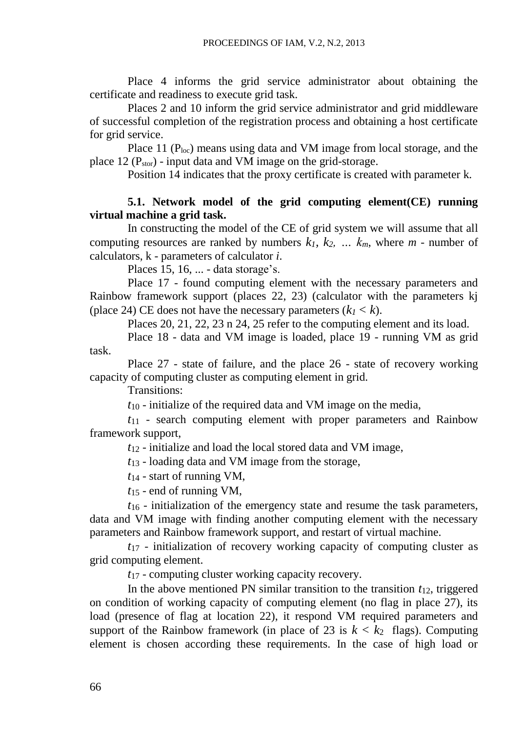Place 4 informs the grid service administrator about obtaining the certificate and readiness to execute grid task.

Places 2 and 10 inform the grid service administrator and grid middleware of successful completion of the registration process and obtaining a host certificate for grid service.

Place 11  $(P_{loc})$  means using data and VM image from local storage, and the place 12 ( $P_{\text{stor}}$ ) - input data and VM image on the grid-storage.

Position 14 indicates that the proxy certificate is created with parameter k.

## **5.1. Network model of the grid computing element(CE) running virtual machine a grid task.**

In constructing the model of the CE of grid system we will assume that all computing resources are ranked by numbers  $k_1$ ,  $k_2$ ,  $\ldots$   $k_m$ , where  $m$  - number of calculators, k - parameters of calculator *i*.

Places 15, 16, ... - data storage's.

Place 17 - found computing element with the necessary parameters and Rainbow framework support (places 22, 23) (calculator with the parameters kj (place 24) CE does not have the necessary parameters  $(k_l < k)$ .

Places 20, 21, 22, 23 n 24, 25 refer to the computing element and its load.

Place 18 - data and VM image is loaded, place 19 - running VM as grid task.

Place 27 - state of failure, and the place 26 - state of recovery working capacity of computing cluster as computing element in grid.

Transitions:

*t*<sup>10</sup> - initialize of the required data and VM image on the media,

*t*<sup>11</sup> - search computing element with proper parameters and Rainbow framework support,

*t*<sup>12</sup> - initialize and load the local stored data and VM image,

*t*<sup>13</sup> - loading data and VM image from the storage,

*t*<sup>14</sup> - start of running VM,

*t*<sup>15</sup> - end of running VM,

*t*<sup>16</sup> - initialization of the emergency state and resume the task parameters, data and VM image with finding another computing element with the necessary parameters and Rainbow framework support, and restart of virtual machine.

*t*<sup>17</sup> - initialization of recovery working capacity of computing cluster as grid computing element.

*t*<sup>17</sup> - computing cluster working capacity recovery.

In the above mentioned PN similar transition to the transition  $t_{12}$ , triggered on condition of working capacity of computing element (no flag in place 27), its load (presence of flag at location 22), it respond VM required parameters and support of the Rainbow framework (in place of 23 is  $k < k_2$  flags). Computing element is chosen according these requirements. In the case of high load or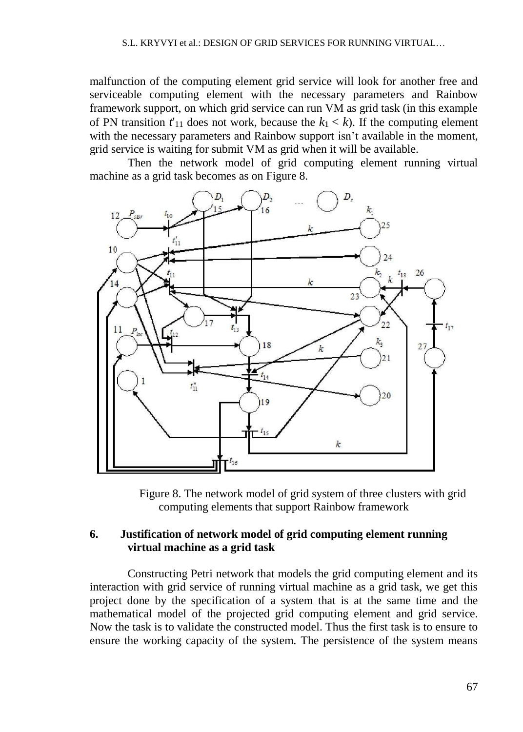malfunction of the computing element grid service will look for another free and serviceable computing element with the necessary parameters and Rainbow framework support, on which grid service can run VM as grid task (in this example of PN transition  $t'_{11}$  does not work, because the  $k_1 < k$ ). If the computing element with the necessary parameters and Rainbow support isn't available in the moment, grid service is waiting for submit VM as grid when it will be available.

Then the network model of grid computing element running virtual machine as a grid task becomes as on Figure 8.



Figure 8. The network model of grid system of three clusters with grid computing elements that support Rainbow framework

### **6. Justification of network model of grid computing element running virtual machine as a grid task**

Constructing Petri network that models the grid computing element and its interaction with grid service of running virtual machine as a grid task, we get this project done by the specification of a system that is at the same time and the mathematical model of the projected grid computing element and grid service. Now the task is to validate the constructed model. Thus the first task is to ensure to ensure the working capacity of the system. The persistence of the system means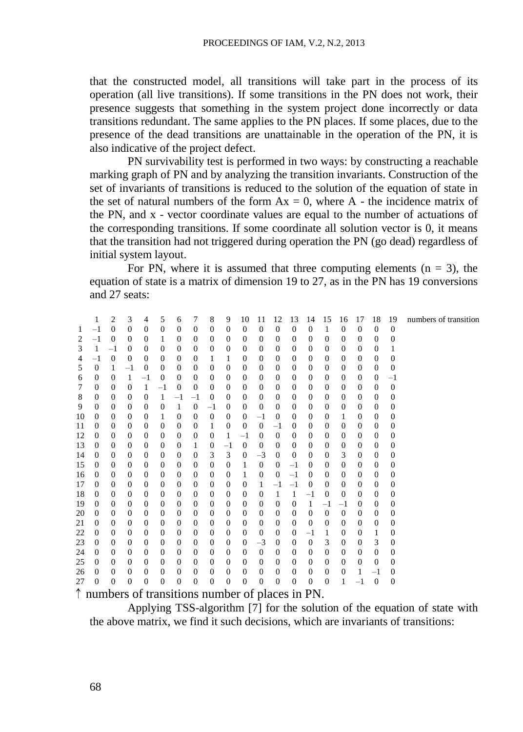that the constructed model, all transitions will take part in the process of its operation (all live transitions). If some transitions in the PN does not work, their presence suggests that something in the system project done incorrectly or data transitions redundant. The same applies to the PN places. If some places, due to the presence of the dead transitions are unattainable in the operation of the PN, it is also indicative of the project defect.

PN survivability test is performed in two ways: by constructing a reachable marking graph of PN and by analyzing the transition invariants. Construction of the set of invariants of transitions is reduced to the solution of the equation of state in the set of natural numbers of the form  $Ax = 0$ , where A - the incidence matrix of the PN, and x - vector coordinate values are equal to the number of actuations of the corresponding transitions. If some coordinate all solution vector is 0, it means that the transition had not triggered during operation the PN (go dead) regardless of initial system layout.

For PN, where it is assumed that three computing elements  $(n = 3)$ , the equation of state is a matrix of dimension 19 to 27, as in the PN has 19 conversions and 27 seats:

|    | 1                | 2                | 3                | 4                | 5                | 6                | 7                | 8              | 9                | 10                                                       | 11               | 12               | 13               | 14               | 15               | 16               | 17               | 18           | 19               | numbers of transition |
|----|------------------|------------------|------------------|------------------|------------------|------------------|------------------|----------------|------------------|----------------------------------------------------------|------------------|------------------|------------------|------------------|------------------|------------------|------------------|--------------|------------------|-----------------------|
| 1  | $^{-1}$          | $\overline{0}$   | $\overline{0}$   | $\mathbf{0}$     | $\mathbf{0}$     | $\boldsymbol{0}$ | $\overline{0}$   | $\theta$       | $\theta$         | $\boldsymbol{0}$                                         | $\mathbf{0}$     | $\boldsymbol{0}$ | $\boldsymbol{0}$ | $\theta$         | 1                | $\mathbf{0}$     | $\mathbf{0}$     | $\Omega$     | $\overline{0}$   |                       |
|    | $^{-1}$          | $\overline{0}$   | $\overline{0}$   | $\overline{0}$   | 1                | $\overline{0}$   | $\overline{0}$   | $\theta$       | 0                | $\mathbf{0}$                                             | $\overline{0}$   | $\mathbf{0}$     | 0                | $\theta$         | $\mathbf{0}$     | $\mathbf{0}$     | $\overline{0}$   | $\theta$     | 0                |                       |
| 3  | 1                | $^{-1}$          | $\boldsymbol{0}$ | $\mathbf{0}$     | $\boldsymbol{0}$ | $\mathbf{0}$     | $\overline{0}$   | $\mathbf{0}$   | 0                | $\boldsymbol{0}$                                         | $\boldsymbol{0}$ | $\boldsymbol{0}$ | 0                | 0                | $\boldsymbol{0}$ | $\boldsymbol{0}$ | $\overline{0}$   | $\mathbf{0}$ | 1                |                       |
| 4  | $^{-1}$          | $\boldsymbol{0}$ | $\overline{0}$   | $\overline{0}$   | $\mathbf{0}$     | $\overline{0}$   | $\overline{0}$   | 1              | 1                | $\mathbf{0}$                                             | $\overline{0}$   | $\mathbf{0}$     | 0                | $\overline{0}$   | $\mathbf{0}$     | $\mathbf{0}$     | $\overline{0}$   | $\theta$     | $\overline{0}$   |                       |
| 5  | 0                | 1                | $-1$             | $\mathbf{0}$     | $\boldsymbol{0}$ | $\mathbf{0}$     | $\mathbf{0}$     | $\mathbf{0}$   | $\mathbf{0}$     | $\boldsymbol{0}$                                         | $\boldsymbol{0}$ | $\mathbf{0}$     | $\boldsymbol{0}$ | $\boldsymbol{0}$ | $\boldsymbol{0}$ | $\boldsymbol{0}$ | $\boldsymbol{0}$ | $\mathbf{0}$ | $\boldsymbol{0}$ |                       |
| 6  | 0                | $\overline{0}$   | 1                | $^{-1}$          | $\mathbf{0}$     | $\overline{0}$   | $\overline{0}$   | $\theta$       | 0                | $\boldsymbol{0}$                                         | $\overline{0}$   | $\mathbf{0}$     | $\mathbf{0}$     | $\theta$         | $\boldsymbol{0}$ | 0                | $\theta$         | $\theta$     | $^{-1}$          |                       |
| 7  | 0                | $\overline{0}$   | $\overline{0}$   | 1                | $-1$             | $\theta$         | $\theta$         | $\overline{0}$ | $\theta$         | $\mathbf{0}$                                             | $\boldsymbol{0}$ | $\mathbf{0}$     | 0                | $\theta$         | $\mathbf{0}$     | $\mathbf{0}$     | $\overline{0}$   | $\theta$     | $\overline{0}$   |                       |
| 8  | 0                | $\overline{0}$   | $\overline{0}$   | $\boldsymbol{0}$ | 1                | $-1$             | $^{-1}$          | $\theta$       | 0                | $\boldsymbol{0}$                                         | $\overline{0}$   | $\mathbf{0}$     | $\boldsymbol{0}$ | $\boldsymbol{0}$ | $\boldsymbol{0}$ | $\mathbf{0}$     | $\overline{0}$   | $\theta$     | $\boldsymbol{0}$ |                       |
| 9  | 0                | $\overline{0}$   | 0                | $\theta$         | $\mathbf{0}$     | 1                | $\mathbf{0}$     | $^{-1}$        | $\mathbf{0}$     | 0                                                        | $\overline{0}$   | $\boldsymbol{0}$ | 0                | $\boldsymbol{0}$ | $\mathbf{0}$     | 0                | $\overline{0}$   | $\theta$     | $\overline{0}$   |                       |
| 10 | 0                | $\theta$         | $\boldsymbol{0}$ | $\theta$         | 1                | $\mathbf{0}$     | $\mathbf{0}$     | $\mathbf{0}$   | 0                | $\mathbf{0}$                                             | $^{-1}$          | $\boldsymbol{0}$ | 0                | $\boldsymbol{0}$ | $\boldsymbol{0}$ | 1                | $\overline{0}$   | $\theta$     | 0                |                       |
| 11 | 0                | $\overline{0}$   | $\overline{0}$   | $\theta$         | $\mathbf{0}$     | $\theta$         | $\theta$         | 1              | 0                | $\mathbf{0}$                                             | $\boldsymbol{0}$ | $^{-1}$          | 0                | $\overline{0}$   | $\boldsymbol{0}$ | $\mathbf{0}$     | $\overline{0}$   | $\theta$     | $\overline{0}$   |                       |
| 12 | 0                | $\boldsymbol{0}$ | $\boldsymbol{0}$ | $\mathbf{0}$     | $\boldsymbol{0}$ | $\mathbf{0}$     | $\boldsymbol{0}$ | $\mathbf{0}$   | 1                | $^{-1}$                                                  | $\boldsymbol{0}$ | $\mathbf{0}$     | 0                | $\boldsymbol{0}$ | $\boldsymbol{0}$ | $\boldsymbol{0}$ | $\overline{0}$   | $\mathbf{0}$ | 0                |                       |
| 13 | 0                | $\theta$         | $\boldsymbol{0}$ | $\theta$         | $\mathbf{0}$     | $\theta$         | 1                | $\mathbf{0}$   | $^{-1}$          | $\boldsymbol{0}$                                         | $\overline{0}$   | $\mathbf{0}$     | 0                | 0                | $\boldsymbol{0}$ | $\boldsymbol{0}$ | $\overline{0}$   | $\theta$     | $\overline{0}$   |                       |
| 14 | $\overline{0}$   | $\mathbf{0}$     | $\overline{0}$   | $\mathbf{0}$     | $\mathbf{0}$     | $\overline{0}$   | $\theta$         | 3              | 3                | $\mathbf{0}$                                             | $-3$             | $\mathbf{0}$     | $\mathbf{0}$     | $\overline{0}$   | $\mathbf{0}$     | 3                | $\overline{0}$   | $\theta$     | 0                |                       |
| 15 | 0                | $\theta$         | $\boldsymbol{0}$ | $\theta$         | $\boldsymbol{0}$ | $\mathbf{0}$     | $\theta$         | $\overline{0}$ | 0                | 1                                                        | $\boldsymbol{0}$ | $\mathbf{0}$     | $-1$             | $\mathbf{0}$     | $\mathbf{0}$     | $\boldsymbol{0}$ | $\overline{0}$   | $\theta$     | 0                |                       |
| 16 | 0                | $\overline{0}$   | $\overline{0}$   | $\mathbf{0}$     | $\mathbf{0}$     | $\overline{0}$   | $\overline{0}$   | $\theta$       | 0                | 1                                                        | $\overline{0}$   | $\mathbf{0}$     | $-1$             | $\mathbf{0}$     | $\mathbf{0}$     | 0                | $\overline{0}$   | $\theta$     | $\overline{0}$   |                       |
| 17 | 0                | $\boldsymbol{0}$ | $\boldsymbol{0}$ | $\boldsymbol{0}$ | $\boldsymbol{0}$ | $\mathbf{0}$     | $\mathbf{0}$     | $\mathbf{0}$   | $\mathbf{0}$     | $\mathbf{0}$                                             | 1                | $^{-1}$          | $-1$             | $\boldsymbol{0}$ | $\boldsymbol{0}$ | $\boldsymbol{0}$ | $\overline{0}$   | $\mathbf{0}$ | $\overline{0}$   |                       |
| 18 | 0                | 0                | $\boldsymbol{0}$ | $\theta$         | $\boldsymbol{0}$ | $\overline{0}$   | $\theta$         | $\theta$       | $\mathbf{0}$     | $\boldsymbol{0}$                                         | $\boldsymbol{0}$ | 1                | $\mathbf{1}$     | $-1$             | $\mathbf{0}$     | $\mathbf{0}$     | $\overline{0}$   | $\theta$     | 0                |                       |
| 19 | 0                | $\overline{0}$   | $\boldsymbol{0}$ | $\mathbf{0}$     | $\mathbf{0}$     | $\overline{0}$   | $\overline{0}$   | $\overline{0}$ | $\theta$         | $\mathbf{0}$                                             | $\overline{0}$   | $\theta$         | $\boldsymbol{0}$ | 1                | $-1$             | $^{-1}$          | $\overline{0}$   | $\theta$     | 0                |                       |
| 20 | 0                | $\overline{0}$   | $\boldsymbol{0}$ | $\mathbf{0}$     | $\boldsymbol{0}$ | $\theta$         | $\overline{0}$   | $\theta$       | 0                | $\boldsymbol{0}$                                         | $\boldsymbol{0}$ | 0                | $\boldsymbol{0}$ | $\boldsymbol{0}$ | $\boldsymbol{0}$ | $\boldsymbol{0}$ | $\overline{0}$   | $\theta$     | 0                |                       |
| 21 | $\boldsymbol{0}$ | $\overline{0}$   | $\boldsymbol{0}$ | $\mathbf{0}$     | $\mathbf{0}$     | $\theta$         | $\theta$         | $\overline{0}$ | $\overline{0}$   | 0                                                        | $\boldsymbol{0}$ | $\mathbf{0}$     | 0                | $\overline{0}$   | $\boldsymbol{0}$ | $\boldsymbol{0}$ | $\overline{0}$   | $\theta$     | 0                |                       |
| 22 | 0                | $\boldsymbol{0}$ | $\boldsymbol{0}$ | $\mathbf{0}$     | $\boldsymbol{0}$ | $\mathbf{0}$     | $\boldsymbol{0}$ | $\mathbf{0}$   | $\boldsymbol{0}$ | $\mathbf{0}$                                             | $\boldsymbol{0}$ | $\mathbf{0}$     | $\mathbf{0}$     | $-1$             | 1                | $\boldsymbol{0}$ | $\boldsymbol{0}$ | 1            | 0                |                       |
| 23 | 0                | $\boldsymbol{0}$ | $\boldsymbol{0}$ | $\boldsymbol{0}$ | $\mathbf{0}$     | $\boldsymbol{0}$ | $\overline{0}$   | $\theta$       | 0                | $\mathbf{0}$                                             | $-3$             | $\boldsymbol{0}$ | 0                | $\boldsymbol{0}$ | 3                | $\boldsymbol{0}$ | $\overline{0}$   | 3            | $\overline{0}$   |                       |
| 24 | $\mathbf{0}$     | $\overline{0}$   | $\boldsymbol{0}$ | $\mathbf{0}$     | $\mathbf{0}$     | $\theta$         | $\theta$         | $\overline{0}$ | $\mathbf{0}$     | $\mathbf{0}$                                             | $\boldsymbol{0}$ | $\mathbf{0}$     | $\mathbf{0}$     | $\boldsymbol{0}$ | $\boldsymbol{0}$ | $\boldsymbol{0}$ | $\overline{0}$   | $\theta$     | $\overline{0}$   |                       |
| 25 | $\mathbf{0}$     | $\theta$         | $\overline{0}$   | $\theta$         | $\mathbf{0}$     | $\theta$         | $\theta$         | $\theta$       | 0                | $\mathbf{0}$                                             | $\overline{0}$   | $\theta$         | $\mathbf{0}$     | $\theta$         | $\mathbf{0}$     | $\mathbf{0}$     | $\mathbf{0}$     | $\theta$     | 0                |                       |
| 26 | 0                | 0                | 0                | $\overline{0}$   | $\mathbf{0}$     | $\overline{0}$   | $\overline{0}$   | $\overline{0}$ | $\overline{0}$   | $\overline{0}$                                           | $\overline{0}$   | $\mathbf{0}$     | 0                | $\boldsymbol{0}$ | $\mathbf{0}$     | $\mathbf{0}$     | 1                | $^{-1}$      | 0                |                       |
| 27 | $\overline{0}$   | $\overline{0}$   | $\overline{0}$   | $\overline{0}$   | $\mathbf{0}$     | $\overline{0}$   | $\theta$         | $\overline{0}$ | $\mathbf{0}$     | $\overline{0}$                                           | $\overline{0}$   | $\mathbf{0}$     | $\mathbf{0}$     | $\overline{0}$   | $\mathbf{0}$     | 1                | $^{-1}$          | $\theta$     | 0                |                       |
|    |                  |                  |                  |                  |                  |                  |                  |                |                  | $\uparrow$ numbers of transitions number of places in DN |                  |                  |                  |                  |                  |                  |                  |              |                  |                       |

numbers of transitions number of places in PN.

Applying TSS-algorithm [7] for the solution of the equation of state with the above matrix, we find it such decisions, which are invariants of transitions: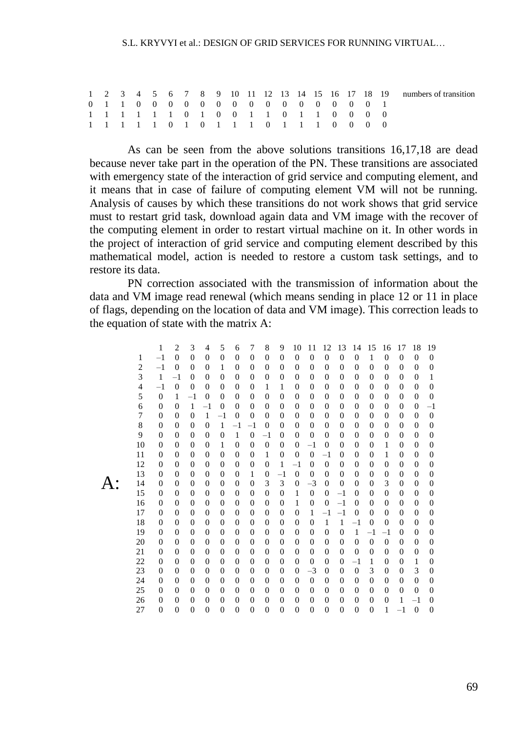#### S.L. KRYVYI et al.: DESIGN OF GRID SERVICES FOR RUNNING VIRTUAL.

|  |  |  |  |                                       |  |  |  |  | 1 2 3 4 5 6 7 8 9 10 11 12 13 14 15 16 17 18 19 numbers of transition |
|--|--|--|--|---------------------------------------|--|--|--|--|-----------------------------------------------------------------------|
|  |  |  |  | 0 1 1 0 0 0 0 0 0 0 0 0 0 0 0 0 0 1   |  |  |  |  |                                                                       |
|  |  |  |  | 1 1 1 1 1 1 0 1 0 0 1 1 0 1 1 0 0 0 0 |  |  |  |  |                                                                       |
|  |  |  |  | 1 1 1 1 1 0 1 0 1 1 1 0 1 1 1 0 0 0 0 |  |  |  |  |                                                                       |

As can be seen from the above solutions transitions 16,17,18 are dead because never take part in the operation of the PN. These transitions are associated with emergency state of the interaction of grid service and computing element, and it means that in case of failure of computing element VM will not be running. Analysis of causes by which these transitions do not work shows that grid service must to restart grid task, download again data and VM image with the recover of the computing element in order to restart virtual machine on it. In other words in the project of interaction of grid service and computing element described by this mathematical model, action is needed to restore a custom task settings, and to restore its data.

PN correction associated with the transmission of information about the data and VM image read renewal (which means sending in place 12 or 11 in place of flags, depending on the location of data and VM image). This correction leads to the equation of state with the matrix A:

|                | 1              | $\overline{2}$ | 3              | 4              | 5              | 6              | 7              | 8              | 9              | 10             | 11             | 12             | 13             | 14             | 15             | 16             | 17             | 18             | 19               |
|----------------|----------------|----------------|----------------|----------------|----------------|----------------|----------------|----------------|----------------|----------------|----------------|----------------|----------------|----------------|----------------|----------------|----------------|----------------|------------------|
| 1              | $-1$           | $\theta$       | $\overline{0}$ | $\overline{0}$ | $\overline{0}$ | $\mathbf{0}$   | $\overline{0}$ | $\overline{0}$ | $\overline{0}$ | $\overline{0}$ | $\overline{0}$ | $\overline{0}$ | $\overline{0}$ | $\overline{0}$ | $\mathbf{1}$   | $\overline{0}$ | $\overline{0}$ | $\overline{0}$ | $\overline{0}$   |
| $\overline{2}$ | $-1$           | $\overline{0}$ | $\theta$       | $\theta$       | 1              | $\mathbf{0}$   | $\overline{0}$ | $\mathbf{0}$   | 0              | $\overline{0}$ | $\mathbf{0}$   | $\overline{0}$ | $\overline{0}$ | $\overline{0}$ | $\overline{0}$ | $\overline{0}$ | $\theta$       | $\overline{0}$ | $\overline{0}$   |
| 3              | $\mathbf{1}$   | $-1$           | $\theta$       | $\theta$       | $\theta$       | $\theta$       | $\theta$       | $\theta$       | $\Omega$       | $\theta$       | $\Omega$       | 0              | $\overline{0}$ | $\theta$       | 0              | $\theta$       | $\theta$       | $\overline{0}$ | 1                |
| 4              | $-1$           | $\overline{0}$ | $\theta$       | $\overline{0}$ | $\theta$       | $\mathbf{0}$   | $\overline{0}$ | 1              | 1              | $\mathbf{0}$   | $\mathbf{0}$   | 0              | $\overline{0}$ | $\overline{0}$ | 0              | $\overline{0}$ | $\overline{0}$ | $\mathbf{0}$   | $\overline{0}$   |
| 5              | $\overline{0}$ | 1              | $^{-1}$        | $\theta$       | $\theta$       | $\mathbf{0}$   | $\overline{0}$ | $\overline{0}$ | $\overline{0}$ | $\overline{0}$ | $\mathbf{0}$   | 0              | $\theta$       | $\overline{0}$ | $\overline{0}$ | $\overline{0}$ | $\mathbf{0}$   | $\overline{0}$ | $\overline{0}$   |
| 6              | $\overline{0}$ | $\overline{0}$ | 1              | $^{-1}$        | $\overline{0}$ | $\mathbf{0}$   | $\overline{0}$ | $\theta$       | $\overline{0}$ | $\theta$       | $\Omega$       | 0              | $\overline{0}$ | $\overline{0}$ | 0              | $\theta$       | $\theta$       | $\overline{0}$ | $^{-1}$          |
| 7              | $\theta$       | $\theta$       | $\overline{0}$ | $\mathbf{1}$   | $-1$           | $\overline{0}$ | $\theta$       | $\theta$       | $\overline{0}$ | $\theta$       | $\overline{0}$ | 0              | $\overline{0}$ | $\theta$       | $\overline{0}$ | $\theta$       | $\overline{0}$ | $\overline{0}$ | $\overline{0}$   |
| 8              | $\overline{0}$ | $\Omega$       | $\theta$       | $\overline{0}$ | $\mathbf{1}$   | $-1$           | $-1$           | $\overline{0}$ | $\overline{0}$ | $\theta$       | $\Omega$       | 0              | $\theta$       | $\overline{0}$ | $\overline{0}$ | $\overline{0}$ | $\overline{0}$ | $\overline{0}$ | $\mathbf{0}$     |
| 9              | $\theta$       | $\Omega$       | $\theta$       | $\theta$       | $\overline{0}$ | $\mathbf{1}$   | $\overline{0}$ | $^{-1}$        | 0              | $\mathbf{0}$   | $\mathbf{0}$   | 0              | $\overline{0}$ | $\overline{0}$ | 0              | 0              | $\Omega$       | $\mathbf{0}$   | $\overline{0}$   |
| 10             | $\theta$       | $\theta$       | $\theta$       | $\theta$       | 1              | $\overline{0}$ | $\theta$       | $\Omega$       | $\theta$       | $\theta$       | $-1$           | $\overline{0}$ | $\theta$       | $\theta$       | $\theta$       | 1              | $\theta$       | $\overline{0}$ | $\overline{0}$   |
| 11             | 0              | $\overline{0}$ | $\overline{0}$ | $\theta$       | $\theta$       | $\overline{0}$ | $\overline{0}$ | 1              | $\overline{0}$ | $\theta$       | $\overline{0}$ | $-1$           | $\theta$       | $\overline{0}$ | 0              | 1              | $\overline{0}$ | $\mathbf{0}$   | $\overline{0}$   |
| 12             | $\theta$       | $\theta$       | $\theta$       | $\theta$       | $\overline{0}$ | $\overline{0}$ | $\overline{0}$ | $\overline{0}$ | 1              | $-1$           | $\overline{0}$ | $\overline{0}$ | $\overline{0}$ | $\theta$       | $\overline{0}$ | $\overline{0}$ | $\theta$       | $\overline{0}$ | $\overline{0}$   |
| 13             | $\theta$       | $\theta$       | $\theta$       | $\theta$       | $\theta$       | $\overline{0}$ | 1              | $\mathbf{0}$   | $-1$           | $\overline{0}$ | $\theta$       | $\overline{0}$ | $\theta$       | $\theta$       | $\theta$       | $\overline{0}$ | $\theta$       | $\overline{0}$ | $\overline{0}$   |
| 14             | 0              | $\overline{0}$ | $\overline{0}$ | $\theta$       | $\overline{0}$ | $\mathbf{0}$   | $\overline{0}$ | 3              | 3              | $\overline{0}$ | $-3$           | $\overline{0}$ | $\overline{0}$ | $\theta$       | $\overline{0}$ | 3              | $\overline{0}$ | $\mathbf{0}$   | $\overline{0}$   |
| 15             | $\theta$       | $\theta$       | $\theta$       | $\theta$       | $\theta$       | $\mathbf{0}$   | $\overline{0}$ | $\theta$       | $\mathbf{0}$   | $\mathbf{1}$   | $\overline{0}$ | $\overline{0}$ | $-1$           | $\overline{0}$ | $\overline{0}$ | $\overline{0}$ | $\theta$       | $\overline{0}$ | $\overline{0}$   |
| 16             | $\theta$       | $\Omega$       | $\theta$       | $\theta$       | $\Omega$       | $\Omega$       | $\theta$       | $\theta$       | $\Omega$       | 1              | $\theta$       | $\overline{0}$ | $^{-1}$        | $\theta$       | $\Omega$       | $\theta$       | $\theta$       | $\mathbf{0}$   | $\overline{0}$   |
| 17             | 0              | $\overline{0}$ | $\overline{0}$ | $\theta$       | $\theta$       | $\mathbf{0}$   | $\overline{0}$ | $\mathbf{0}$   | $\mathbf{0}$   | $\overline{0}$ | 1              | $-1$           | $-1$           | $\overline{0}$ | $\Omega$       | $\overline{0}$ | $\mathbf{0}$   | $\mathbf{0}$   | $\overline{0}$   |
| 18             | 0              | $\Omega$       | $\theta$       | $\theta$       | $\theta$       | $\mathbf{0}$   | $\overline{0}$ | $\mathbf{0}$   | 0              | $\mathbf{0}$   | $\mathbf{0}$   | 1              | 1              | $^{-1}$        | $\theta$       | $\theta$       | $\theta$       | $\mathbf{0}$   | $\overline{0}$   |
| 19             | $\theta$       | $\theta$       | $\theta$       | $\theta$       | $\theta$       | $\theta$       | $\theta$       | $\theta$       | $\theta$       | $\theta$       | $\theta$       | $\overline{0}$ | $\theta$       | 1              | $^{-1}$        | $^{-1}$        | $\theta$       | $\overline{0}$ | $\overline{0}$   |
| 20             | $\Omega$       | $\theta$       | $\theta$       | $\theta$       | $\theta$       | $\mathbf{0}$   | $\overline{0}$ | $\Omega$       | 0              | $\Omega$       | $\Omega$       | 0              | $\overline{0}$ | $\overline{0}$ | $\mathbf{0}$   | $\Omega$       | $\theta$       | $\mathbf{0}$   | $\overline{0}$   |
| 21             | $\overline{0}$ | $\theta$       | $\theta$       | $\theta$       | $\overline{0}$ | $\overline{0}$ | $\overline{0}$ | $\overline{0}$ | $\overline{0}$ | $\overline{0}$ | $\overline{0}$ | $\overline{0}$ | $\overline{0}$ | $\theta$       | $\overline{0}$ | $\overline{0}$ | $\overline{0}$ | $\overline{0}$ | $\overline{0}$   |
| 22             | $\theta$       | $\theta$       | $\theta$       | $\theta$       | $\Omega$       | $\Omega$       | $\theta$       | $\Omega$       | $\Omega$       | $\theta$       | $\Omega$       | 0              | $\overline{0}$ | $^{-1}$        | 1              | $\overline{0}$ | $\Omega$       | 1              | $\overline{0}$   |
| 23             | $\theta$       | $\theta$       | $\theta$       | $\theta$       | $\theta$       | $\mathbf{0}$   | $\theta$       | $\Omega$       | $\Omega$       | $\Omega$       | $-3$           | $\mathbf{0}$   | $\theta$       | $\overline{0}$ | 3              | $\theta$       | $\theta$       | 3              | $\overline{0}$   |
| 24             | $\theta$       | $\Omega$       | $\theta$       | $\theta$       | $\overline{0}$ | $\mathbf{0}$   | $\overline{0}$ | $\mathbf{0}$   | 0              | $\Omega$       | $\mathbf{0}$   | 0              | $\overline{0}$ | $\overline{0}$ | $\overline{0}$ | $\overline{0}$ | $\overline{0}$ | $\overline{0}$ | $\boldsymbol{0}$ |
| 25             | $\theta$       | $\theta$       | $\theta$       | $\theta$       | $\theta$       | $\Omega$       | $\theta$       | $\Omega$       | $\Omega$       | $\theta$       | $\Omega$       | $\theta$       | $\theta$       | $\theta$       | $\Omega$       | $\theta$       | $\theta$       | $\mathbf{0}$   | $\Omega$         |
| 26             | $\theta$       | $\theta$       | $\theta$       | $\theta$       | $\theta$       | $\Omega$       | $\theta$       | $\Omega$       | $\Omega$       | $\Omega$       | $\Omega$       | $\theta$       | $\theta$       | $\theta$       | $\Omega$       | $\theta$       | 1              | $-1$           | $\theta$         |
| 27             | $\overline{0}$ | $\overline{0}$ | $\overline{0}$ | $\overline{0}$ | $\overline{0}$ | $\overline{0}$ | $\theta$       | $\overline{0}$ | $\overline{0}$ | $\overline{0}$ | $\overline{0}$ | $\overline{0}$ | $\overline{0}$ | $\overline{0}$ | $\overline{0}$ | 1              | $^{-1}$        | $\overline{0}$ | $\theta$         |

 $A^{\cdot}$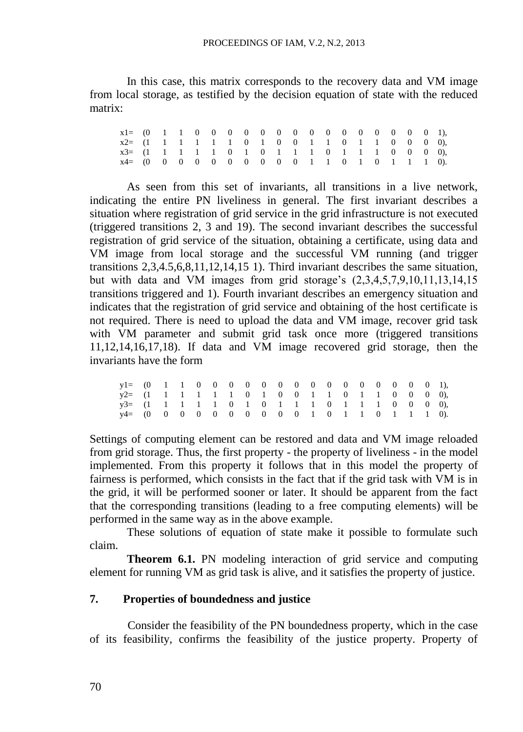In this case, this matrix corresponds to the recovery data and VM image from local storage, as testified by the decision equation of state with the reduced matrix:

| $x2 = (1 \t1 \t1 \t1 \t1 \t1 \t0 \t1 \t0 \t0 \t1 \t1 \t0 \t1 \t1 \t0 \t0 \t0 \t0)$ |  |  |  |  |  |  |  |  |  |  |
|------------------------------------------------------------------------------------|--|--|--|--|--|--|--|--|--|--|
| x3= (1 1 1 1 1 0 1 0 1 1 1 0 1 1 1 0 0 0 0),                                       |  |  |  |  |  |  |  |  |  |  |
|                                                                                    |  |  |  |  |  |  |  |  |  |  |

As seen from this set of invariants, all transitions in a live network, indicating the entire PN liveliness in general. The first invariant describes a situation where registration of grid service in the grid infrastructure is not executed (triggered transitions 2, 3 and 19). The second invariant describes the successful registration of grid service of the situation, obtaining a certificate, using data and VM image from local storage and the successful VM running (and trigger transitions 2,3,4.5,6,8,11,12,14,15 1). Third invariant describes the same situation, but with data and VM images from grid storage's (2,3,4,5,7,9,10,11,13,14,15 transitions triggered and 1). Fourth invariant describes an emergency situation and indicates that the registration of grid service and obtaining of the host certificate is not required. There is need to upload the data and VM image, recover grid task with VM parameter and submit grid task once more (triggered transitions 11,12,14,16,17,18). If data and VM image recovered grid storage, then the invariants have the form

| $y2 = (1 \t1 \t1 \t1 \t1 \t1 \t0 \t1 \t0 \t0 \t1 \t1 \t0 \t1 \t1 \t0 \t0 \t0 \t0),$ |  |  |  |  |  |  |  |  |  |  |
|-------------------------------------------------------------------------------------|--|--|--|--|--|--|--|--|--|--|
| $y3 = (1 \t1 \t1 \t1 \t1 \t0 \t1 \t0 \t1 \t1 \t1 \t0 \t1 \t1 \t1 \t0 \t0 \t0 \t0),$ |  |  |  |  |  |  |  |  |  |  |
|                                                                                     |  |  |  |  |  |  |  |  |  |  |

Settings of computing element can be restored and data and VM image reloaded from grid storage. Thus, the first property - the property of liveliness - in the model implemented. From this property it follows that in this model the property of fairness is performed, which consists in the fact that if the grid task with VM is in the grid, it will be performed sooner or later. It should be apparent from the fact that the corresponding transitions (leading to a free computing elements) will be performed in the same way as in the above example.

These solutions of equation of state make it possible to formulate such claim.

**Theorem 6.1.** PN modeling interaction of grid service and computing element for running VM as grid task is alive, and it satisfies the property of justice.

#### **7. Properties of boundedness and justice**

Consider the feasibility of the PN boundedness property, which in the case of its feasibility, confirms the feasibility of the justice property. Property of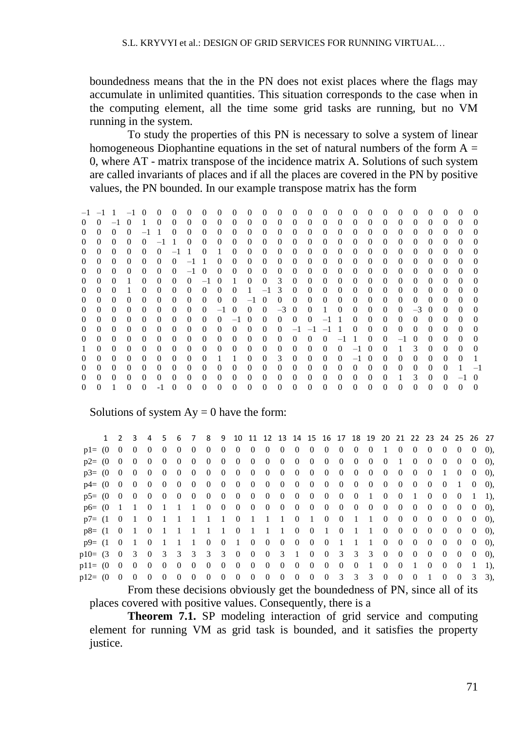boundedness means that the in the PN does not exist places where the flags may accumulate in unlimited quantities. This situation corresponds to the case when in the computing element, all the time some grid tasks are running, but no VM running in the system.

To study the properties of this PN is necessary to solve a system of linear homogeneous Diophantine equations in the set of natural numbers of the form  $A =$ 0, where AT - matrix transpose of the incidence matrix A. Solutions of such system are called invariants of places and if all the places are covered in the PN by positive values, the PN bounded. In our example transpose matrix has the form

–1 –1 1 –1 0 0 0 0 0 0 0 0 0 0 0 0 0 0 0 0 0 0 0 0 0 0 0 0 –1 0 1 0 0 0 0 0 0 0 0 0 0 0 0 0 0 0 0 0 0 0 0 0 0 0 0 0 –1 1 0 0 0 0 0 0 0 0 0 0 0 0 0 0 0 0 0 0 0 0 0 0 0 0 0 –1 1 0 0 0 0 0 0 0 0 0 0 0 0 0 0 0 0 0 0 0 0 0 0 0 0 0 –1 1 0 1 0 0 0 0 0 0 0 0 0 0 0 0 0 0 0 0 0 0 0 0 0 0 0 –1 1 0 0 0 0 0 0 0 0 0 0 0 0 0 0 0 0 0 0 0 0 0 0 0 0 –1 0 0 0 0 0 0 0 0 0 0 0 0 0 0 0 0 0 0 0 0 0 1 0 0 0 0 –1 0 1 0 0 3 0 0 0 0 0 0 0 0 0 0 0 0 0 0 0 1 0 0 0 0 0 0 0 1 –1 3 0 0 0 0 0 0 0 0 0 0 0 0 0 0 0 0 0 0 0 0 0 0 0 –1 0 0 0 0 0 0 0 0 0 0 0 0 0 0 0 0 0 0 0 0 0 0 0 –1 0 0 0 –3 0 0 1 0 0 0 0 0 –3 0 0 0 0 0 0 0 0 0 0 0 0 0 –1 0 0 0 0 0 –1 1 0 0 0 0 0 0 0 0 0 0 0 0 0 0 0 0 0 0 0 0 0 0 –1 –1 –1 1 0 0 0 0 0 0 0 0 0 0 0 0 0 0 0 0 0 0 0 0 0 0 0 0 0 –1 1 0 0 –1 0 0 0 0 0 0 0 0 0 0 0 0 0 0 0 0 0 0 0 0 0 0 –1 0 0 1 3 0 0 0 0 0 0 0 0 0 0 0 0 1 1 0 0 3 0 0 0 0 –1 0 0 0 0 0 0 0 1 0 0 0 0 0 0 0 0 0 0 0 0 0 0 0 0 0 0 0 0 0 0 0 0 1 –1 0 0 0 0 0 0 0 0 0 0 0 0 0 0 0 0 0 0 0 0 1 3 0 0 –1 0 0 1 0 0 -1 0 0 0 0 0 0 0 0 0 0 0 0 0 0 0 0 0 0 0 0 0

#### Solutions of system  $Ay = 0$  have the form:

|            | $\mathbf{1}$ | $\mathcal{L}$ | 3            | 4          | .5             | 6              | $\overline{7}$ | 8        |                | 9 10 11 12 13 14 15 16 17 18 19 20 21 22 23 24 25 26 27 |                |                |                |                |                |                |                |                |                |          |                |                |                |          |              |          |         |
|------------|--------------|---------------|--------------|------------|----------------|----------------|----------------|----------|----------------|---------------------------------------------------------|----------------|----------------|----------------|----------------|----------------|----------------|----------------|----------------|----------------|----------|----------------|----------------|----------------|----------|--------------|----------|---------|
| $p = 0$    |              | $\Omega$      | $\Omega$     | $\Omega$   | $\Omega$       | $\theta$       | $\theta$       | $\Omega$ | $\overline{0}$ | $\overline{0}$                                          | $\overline{0}$ | $\overline{0}$ | $\overline{0}$ | $0\quad 0$     |                | $\overline{0}$ | $\overline{0}$ | $\overline{0}$ | $\theta$       | -1       | $\overline{0}$ | $\theta$       | $\overline{0}$ | $\Omega$ | $\Omega$     | $\theta$ | $(0)$ . |
| $p2 = (0$  |              | $\Omega$      | $\Omega$     | $\Omega$   | $\Omega$       | $\theta$       | $\Omega$       | $\Omega$ | $\overline{0}$ | $\overline{0}$                                          | $\overline{0}$ | $\overline{0}$ | $\overline{0}$ | $\Omega$       | $\Omega$       | $\overline{0}$ | $\Omega$       | $\overline{0}$ | $\overline{0}$ | $\Omega$ | -1             | $\Omega$       | $\Omega$       | $\Omega$ | $\Omega$     | $\Omega$ | $(0)$ . |
| $p3 = (0$  |              | $\Omega$      | $\Omega$     | $\Omega$   | $\Omega$       | $\Omega$       | $\Omega$       | $\Omega$ | $\Omega$       | $\Omega$                                                | $\Omega$       | $\overline{0}$ | $\Omega$       | $\Omega$       | $\Omega$       | $\overline{0}$ | $\Omega$       | $\Omega$       | $\Omega$       | $\Omega$ | $\Omega$       | $\Omega$       | $\Omega$       |          | $\Omega$     | $\Omega$ | $(0)$ . |
| $p4 = (0$  |              | $\Omega$      | $\Omega$     | $\Omega$   | $\Omega$       | $\overline{0}$ | $\overline{0}$ | $\Omega$ | $\overline{0}$ | $\overline{0}$                                          | $\bf{0}$       | $\overline{0}$ | $\mathbf{0}$   | $\overline{0}$ | $\overline{0}$ | $\theta$       | $\overline{0}$ | $\overline{0}$ | $\overline{0}$ | $\bf{0}$ | $\overline{0}$ | $\overline{0}$ | $\overline{0}$ | $\Omega$ | $\mathbf{1}$ | $\theta$ | $(0)$ . |
| $p5 = (0$  |              | $\Omega$      | $\theta$     | $\Omega$   | $\Omega$       | $\overline{0}$ | $\Omega$       | $\Omega$ |                | $0 \quad 0$                                             | $\overline{0}$ | $\overline{0}$ | $\overline{0}$ | $\Omega$       | $\overline{0}$ | $\overline{0}$ | $\mathbf{0}$   | $\overline{0}$ | -1             | $\Omega$ | $\Omega$       | 1              | $\Omega$       | $\Omega$ | $\Omega$     |          | 1.      |
| $p6= (0$   |              | $\mathbf{1}$  | $\mathbf{1}$ | $0\quad 1$ |                | - 1            | 1 0            |          | $\overline{0}$ | $\overline{0}$                                          | $\overline{0}$ | $\overline{0}$ | $\overline{0}$ | $\mathbf{0}$   | $\mathbf{0}$   | $\overline{0}$ | $\overline{0}$ | $\overline{0}$ | $\overline{0}$ | $\bf{0}$ | $\overline{0}$ | $\Omega$       | $\overline{0}$ | $\Omega$ | $\Omega$     | $\Omega$ | $(0)$ . |
| $p7 = (1$  |              | $\Omega$      | - 1          | $\Omega$   | $\overline{1}$ | $\overline{1}$ | 1              | - 1      | -1             | $\bf{0}$                                                | $\overline{1}$ | $\mathbf{1}$   | $\overline{1}$ | $\Omega$       | 1              | $\overline{0}$ | $\Omega$       | 1              | $\overline{1}$ | $\Omega$ | $\Omega$       | $\Omega$       | $\Omega$       | $\Omega$ | $\Omega$     | $\Omega$ | $(0)$ . |
| $p8 = (1$  |              | $\Omega$      |              | $\Omega$   | $\overline{1}$ |                | $\mathbf{1}$   |          | $\overline{1}$ | $\Omega$                                                | $\overline{1}$ | 1              | $\mathbf{1}$   | $\Omega$       | $\overline{0}$ | $\overline{1}$ | $\Omega$       | $\mathbf{1}$   | 1              | $\theta$ | $\Omega$       | $\Omega$       | $\Omega$       | $\Omega$ | $\Omega$     | $\Omega$ | $(0)$ , |
| $p9 = (1$  |              | $\Omega$      |              | $\Omega$   |                |                | 1              | $\Omega$ | $\overline{0}$ | - 1                                                     | $\Omega$       | $\overline{0}$ | $\mathbf{0}$   | $\Omega$       | $\mathbf{0}$   | $\overline{0}$ | $\overline{1}$ | -1             | 1              | $\Omega$ | $\Omega$       | $\Omega$       | $\Omega$       | $\Omega$ | $\Omega$     | $\Omega$ | $(0)$ , |
| $p10=$ (3) |              | $\Omega$      | 3            | $\Omega$   | $\overline{3}$ |                | 3 3 3          |          | $3 \quad 0$    |                                                         | $\overline{0}$ |                | $0 \t3 \t1$    |                | $\Omega$       | $\mathbf{0}$   | 3 3 3          |                |                | $\Omega$ | $\Omega$       | $\Omega$       | $\Omega$       | $\Omega$ | $\Omega$     | $\Omega$ | $(0)$ . |
| $p11 = (0$ |              | $\Omega$      | $\Omega$     | $\Omega$   | $\Omega$       | $\overline{0}$ | $\Omega$       | $\Omega$ | $\overline{0}$ | $\overline{0}$                                          | $\Omega$       | $\Omega$       | $\Omega$       | $\Omega$       | $\Omega$       | $\Omega$       | $\Omega$       | $\Omega$       | $\mathbf{1}$   | $\Omega$ | $\Omega$       | 1.             | $\Omega$       | $\Omega$ | $\Omega$     |          | 1).     |
| $p12= (0$  |              | $\Omega$      | $\Omega$     | $\Omega$   | $\Omega$       | $\theta$       | $\overline{0}$ | $\Omega$ | $\theta$       | $\overline{0}$                                          | $\overline{0}$ | $\overline{0}$ | $\theta$       | $\Omega$       | $\Omega$       | $\overline{0}$ | 3              | 3              | 3              | $\Omega$ | $\Omega$       | $\Omega$       |                | $\Omega$ | $\theta$     | 3        | 3).     |
|            |              |               |              |            |                |                |                |          |                |                                                         |                |                |                |                |                |                |                |                |                |          |                |                |                |          |              |          |         |

From these decisions obviously get the boundedness of PN, since all of its places covered with positive values. Consequently, there is a

**Theorem 7.1.** SP modeling interaction of grid service and computing element for running VM as grid task is bounded, and it satisfies the property justice.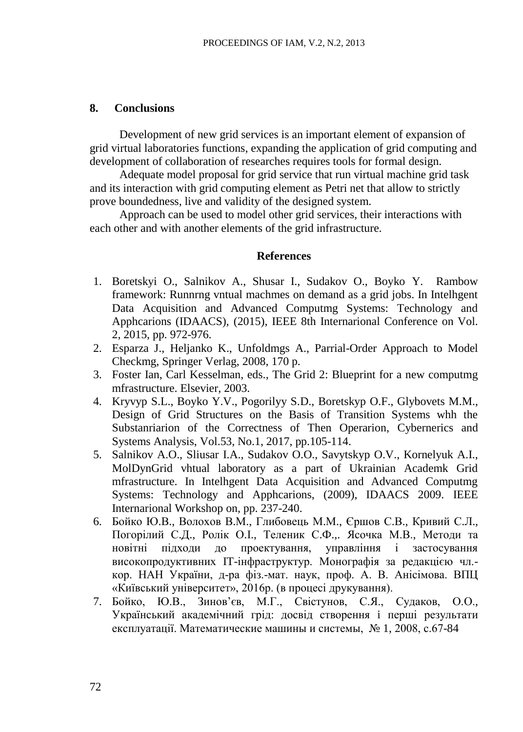### **8. Conclusions**

Development of new grid services is an important element of expansion of grid virtual laboratories functions, expanding the application of grid computing and development of collaboration of researches requires tools for formal design.

Adequate model proposal for grid service that run virtual machine grid task and its interaction with grid computing element as Petri net that allow to strictly prove boundedness, live and validity of the designed system.

Approach can be used to model other grid services, their interactions with each other and with another elements of the grid infrastructure.

#### **References**

- 1. Boretskyi O., Salnikov A., Shusar I., Sudakov O., Boyko Y. Rambow framework: Runnrng vntual machmes on demand as a grid jobs. In Intelhgent Data Acquisition and Advanced Computmg Systems: Technology and Apphcarions (IDAACS), (2015), IEEE 8th Internarional Conference on Vol. 2, 2015, pp. 972-976.
- 2. Esparza J., Heljanko K., Unfoldmgs A., Parrial-Order Approach to Model Checkmg, Springer Verlag, 2008, 170 p.
- 3. Foster Ian, Carl Kesselman, eds., The Grid 2: Blueprint for a new computmg mfrastructure. Elsevier, 2003.
- 4. Kryvyp S.L., Boyko Y.V., Pogorilyy S.D., Boretskyp O.F., Glybovets M.M., Design of Grid Structures on the Basis of Transition Systems whh the Substanriarion of the Correctness of Then Operarion, Cybernerics and Systems Analysis, Vol.53, No.1, 2017, pp.105-114.
- 5. Salnikov A.O., Sliusar I.A., Sudakov O.O., Savytskyp O.V., Kornelyuk A.I., MolDynGrid vhtual laboratory as a part of Ukrainian Academk Grid mfrastructure. In Intelhgent Data Acquisition and Advanced Computmg Systems: Technology and Apphcarions, (2009), IDAACS 2009. IEEE Internarional Workshop on, pp. 237-240.
- 6. Бойко Ю.В., Волохов В.М., Глибовець М.М., Єршов С.В., Кривий С.Л., Погорілий С.Д., Ролік О.I., Теленик С.Ф.,. Ясочка М.В., Методи та новітні підходи до проектування, управління і застосування високопродуктивних IT-інфраструктур. Монографія за редакцією чл. кор. НАН України, д-ра фіз.-мат. наук, проф. А. В. Анісімова. ВПЦ «Київський університет», 2016р. (в процесі друкування).
- 7. Бойко, Ю.В., Зинов'єв, М.Г., Свістунов, С.Я., Судаков, О.О., Український академічний грід: досвід створення i перші результати експлуатації. Математические машины и системы, № 1, 2008, с.67-84